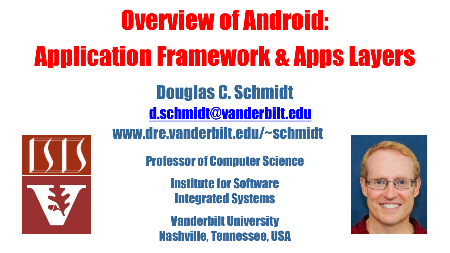## Overview of Android: Application Framework & Apps Layers Douglas C. Schmidt [d.schmidt@vanderbilt.edu](mailto:d.schmidt@vanderbilt.edu) www.dre.vanderbilt.edu/~schmidt Professor of Computer Science Institute for Software Integrated Systems Vanderbilt University Nashville, Tennessee, USA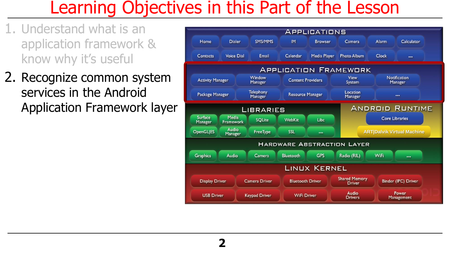#### Learning Objectives in this Part of the Lesson

- 1. Understand what is an application framework & know why it's useful
- 2. Recognize common system services in the Android Application Framework layer

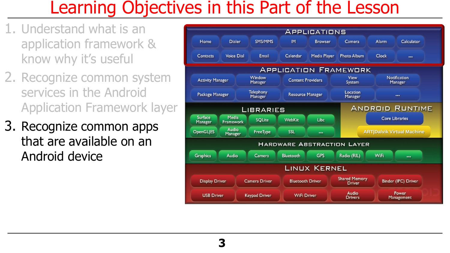#### Learning Objectives in this Part of the Lesson

- 1. Understand what is an application framework & know why it's useful
- 2. Recognize common system services in the Android Application Framework layer
- 3. Recognize common apps that are available on an Android device

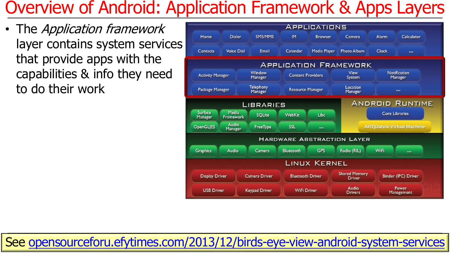• The Application framework layer contains system services that provide apps with the capabilities & info they need to do their work



**5** See [opensourceforu.efytimes.com/2013/12/birds-eye-view-android-system-services](http://www.dre.vanderbilt.edu/~schmidt/frameworks.html)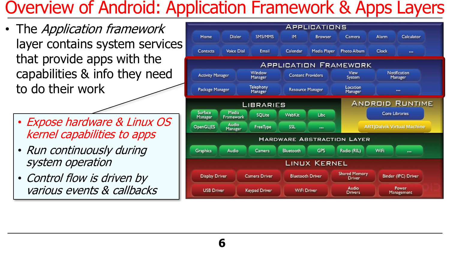**6**

- The *Application framework* layer contains system services that provide apps with the capabilities & info they need to do their work
	- Expose hardware & Linux OS kernel capabilities to apps
	- Run continuously during system operation
	- Control flow is driven by various events & callbacks

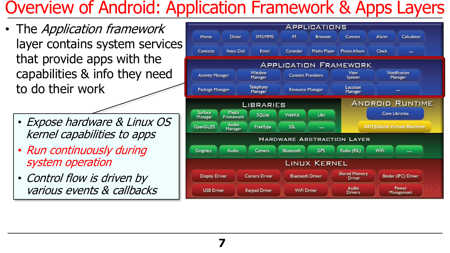**7**

- The *Application framework* layer contains system services that provide apps with the capabilities & info they need to do their work
	- Expose hardware & Linux OS kernel capabilities to apps
	- Run continuously during system operation
	- Control flow is driven by various events & callbacks

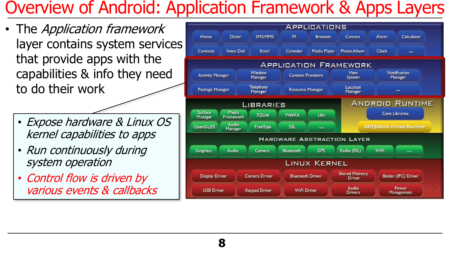**8**

- The *Application framework* layer contains system services that provide apps with the capabilities & info they need to do their work
	- Expose hardware & Linux OS kernel capabilities to apps
	- Run continuously during system operation
	- Control flow is driven by various events & callbacks

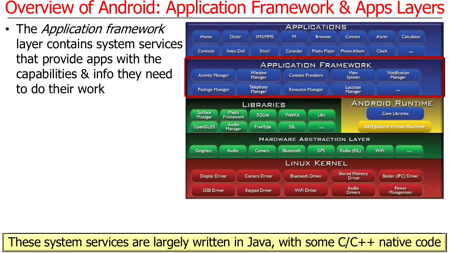• The Application framework layer contains system services that provide apps with the capabilities & info they need to do their work



These system services are largely written in Java, with some C/C++ native code **9**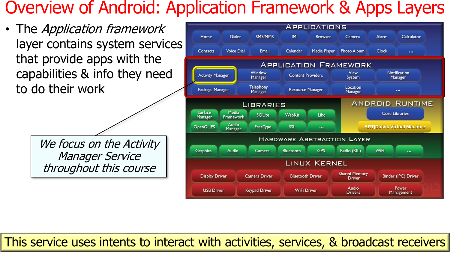• The Application framework layer contains system services that provide apps with the capabilities & info they need to do their work

> We focus on the Activity Manager Service throughout this course



This service uses intents to interact with activities, services, & broadcast receivers **10**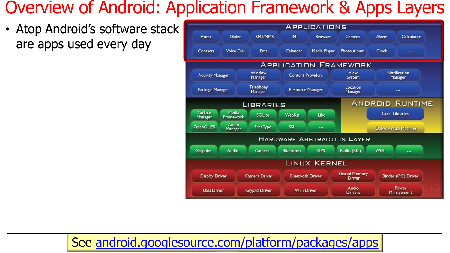• Atop Android's software stack are apps used every day



#### See [android.googlesource.com/platform/packages/apps](https://android.googlesource.com/platform/packages/apps/)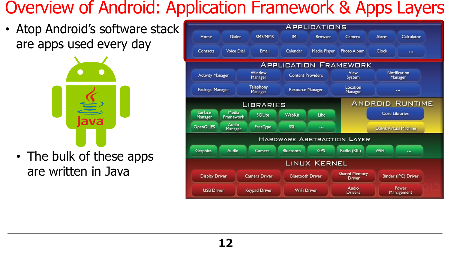• Atop Android's software stack are apps used every day



• The bulk of these apps are written in Java

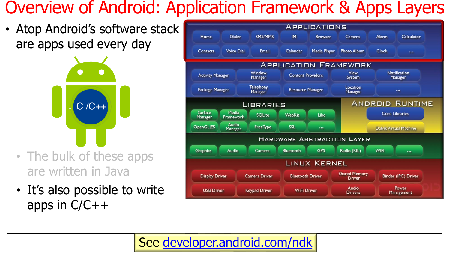• Atop Android's software stack are apps used every day

С  $C/C++$ 

- The bulk of these apps are written in Java
- It's also possible to write apps in C/C++



#### **13** See [developer.android.com/ndk](https://developer.android.com/ndk)